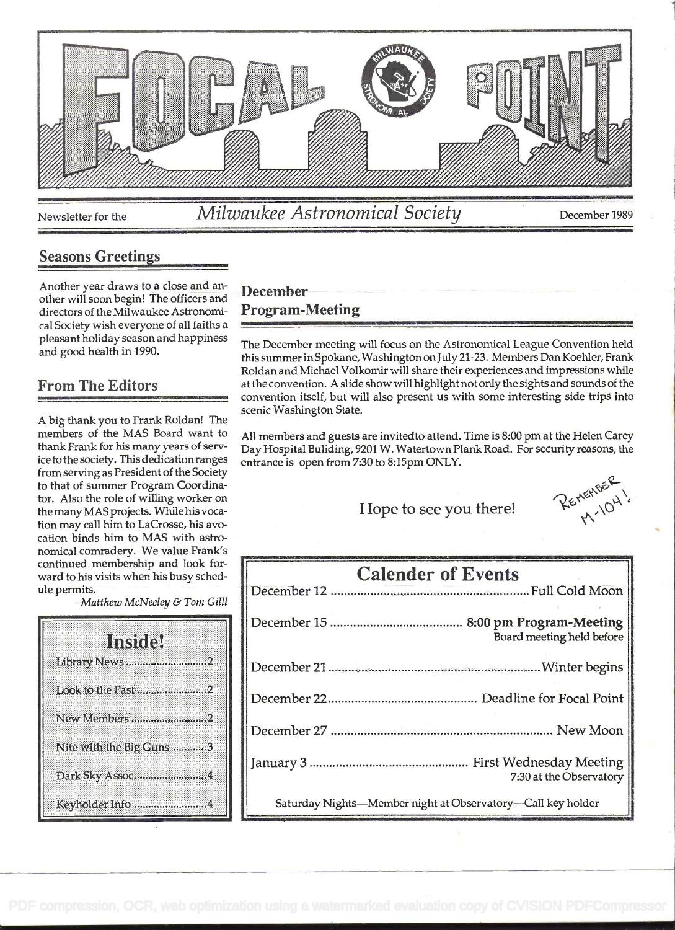

Newsletter for the *Milwaukee Astronomical Society* December 1989

#### Seasons Greetings

Another year draws to a close and another will soon begin! The officers and directors of the Milwaukee Astronomical Society wish everyone of all faiths a pleasant holiday season and happiness and good health in 1990.

#### From The Editors

A big thank you to Frank Roldan! The members of the MAS Board want to thank Frank for his many years of service to the society. This dedication ranges from serving as President of the Society to that of summer Program Coordinator. Also the role of willing worker on the many MAS projects. Whilehis vocation may call him to LaCrosse, his ayocation binds him to MAS with astronomical comradery. We value Frank's continued membership and look forward to his visits when his busy schedule permits.

- Matthew McNeeley & Tom Gill

| Institel                 |  |  |
|--------------------------|--|--|
| Library News2            |  |  |
| Look to the Past 2       |  |  |
| New Members2             |  |  |
| Nite with the Big Guns 3 |  |  |
| Dark Sky Assoc. 4        |  |  |
| Keyholder Info 4         |  |  |

# December Program-Meeting

The December meeting will focus on the Astronomical League Convention held this summer in Spokane, Washington on July 21-23. Members Dan Koehler, Frank Roldan and Michael Volkomir will share their experiences and impressions while at the convention. A slide show will highlight not only the sights and sounds of the convention itself, but will also present us with some interesting side trips into scenic Washington State.

All members and guests are invitedto attend. Time is 8:00 pm at the Helen Carey Day Hospital Buliding, 9201 W. Watertown Plank Road. For security reasons, the entrance is open from 7:30 to 8:15pm ONLY.

Hope to see you there!  $\mathcal{R}_{\kappa}^{\kappa}(\theta^{\kappa})^{\kappa}$ 

| <b>Calender of Events</b>                                   |
|-------------------------------------------------------------|
|                                                             |
| 8:00 pm Program-Meeting<br>Board meeting held before        |
|                                                             |
|                                                             |
|                                                             |
| 7:30 at the Observatory                                     |
| Saturday Nights—Member night at Observatory—Call key holder |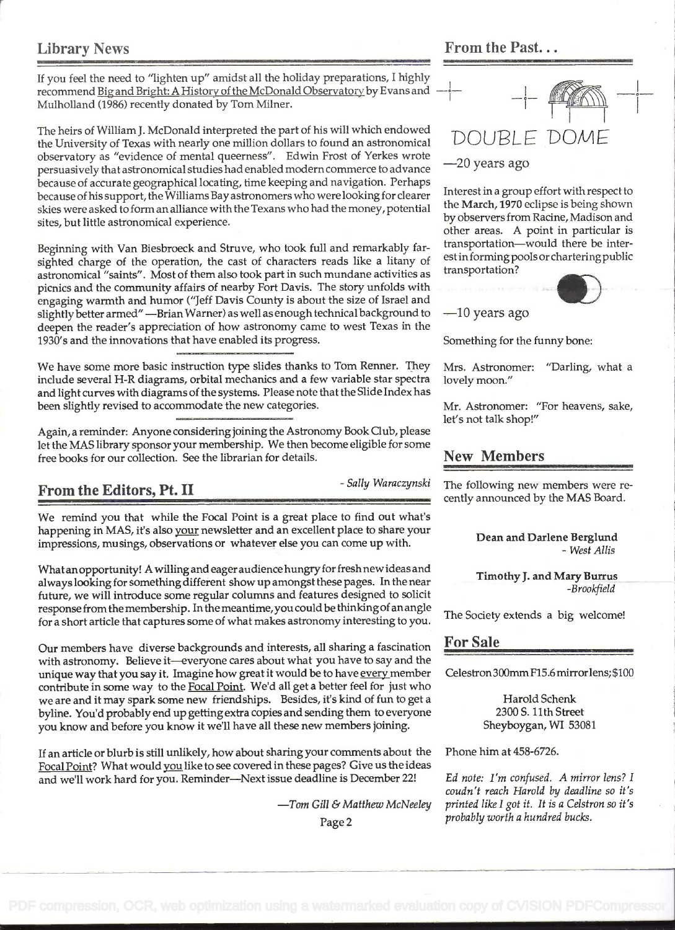#### Library News From the Past...

If you feel the need to "lighten up" amidst all the holiday preparations, I highly recommend Big and Bright: A History of the McDonald Observatory by Evans and Mulholland (1986) recently donated by Tom Milner.

The heirs of William J. McDonald interpreted the part of his will which endowed the University of Texas with nearly one million dollars to found an astronomical observatory as "evidence of mental queerness". Edwin Frost of Yerkes wrote persuasively that astronomical studies had enabled modern commerce to advance because of accurate geographical locating, time keeping and navigation. Perhaps because of his support, the Williams Bay astronomers who were looking for clearer skies were asked to form an alliance with the Texans who had the money, potential sites, but little astronomical experience.

Beginning with Van Biesbroeck and Struve, who took full and remarkably farsighted charge of the operation, the cast of characters reads like a litany of astronomical "saints". Most of them also took part in such mundane activities as picnics and the community affairs of nearby Fort Davis. The story unfolds with engaging warmth and humor ("Jeff Davis County is about the size of Israel and slightly better armed" - Brian Warner) as well as enough technical background to deepen the reader's appreciation of how astronomy came to west Texas in the 1930's and the innovations that have enabled its progress.

We have some more basic instruction type slides thanks to Tom Renner. They include several H-R diagrams, orbital mechanics and a few variable star spectra and light curves with diagrams of the systems. Please note that the Slide Index has been slightly revised to accommodate the new categories.

Again, a reminder: Anyone considering joining the Astronomy Book Club, please let the MAS library sponsor your membership. We then become eligible for some free books for our collection. See the librarian for details.

We remind you that while the Focal Point is a great place to find out what's happening in MAS, it's also your newsletter and an excellent place to share your impressions, musings, observations or whatever else you can come up with.

Whatanopportunity! Awilling and eageraudience hungry for freshnew ideas and always looking for something different show up amongst these pages. In the near future, we will introduce some regular columns and features designed to solicit response fromthe membership. Inthe meantime,you could be thinkingof an angle for a short article that captures some of what makes astronomy interesting to you.

Our members have diverse backgrounds and interests, all sharing a fascination with astronomy. Believe it-everyone cares about what you have to say and the unique way that you say it. Imagine how great it would be to have every member contribute in some way to the Focal Point. We'd all get a better feel for just who we are and it may spark some new friendships. Besides, it's kind of fun to get a byline. You'd probably end up getting extra copies and sending them to everyone you know and before you know it we'll have all these new members joining.

If an article or blurb is still unlikely, how about sharing your comments about the Focal Point? What would you like to see covered in these pages? Give us the ideas and we'll work hard for you. Reminder-Next issue deadline is December 22!

 $-$ Tom Gill & Matthew McNeeley

# DOUBL -20 years ago

Interest in a group effort with respect to the March, 1970 eclipse is being shown by observers from Racine, Madison and other areas. A point in particular is transportation-would there be interest in forming pools or chartering public transportation? contract the contract of the contract of the contract of the contract of the contract of the contract of the contract of the contract of the contract of the contract of the contract of the contract of the contract of the c



 $-10$  years ago

Something for the funny bone:

Mrs. Astronomer: "Darling, what a lovely moon."

Mr. Astronomer: "For heavens, sake, let's not talk shop!"

#### New Members

From the Editors, Pt. II Sally Waraczynski The following new members were recently announced by the MAS Board.

#### Dean and Darlene Bergiund - West Allis

Timothy J. and Mary Burrus -Brookfield

The Society extends a big welcome!

#### For Sale

Celestron300mmFl5.6 mirrorlens; \$100

Harold Schenk 2300 S. 11th Street Sheyboygan, WI 53081

Phone him at 458-6726.

Ed note: I'm confused. A mirror lens? I coudn't reach Harold by deadline so it's printed like I got it. It is a Ceistron so it's probably worth a hundred bucks.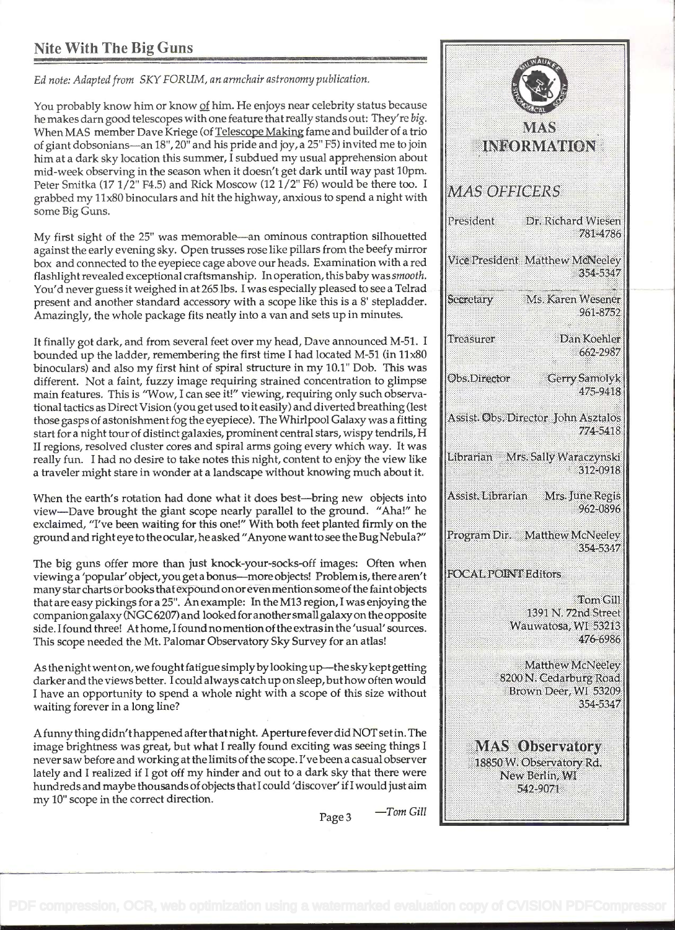# Nite With The Big Guns

Ed note: Adapted from SKY FORUM, an armchair astronomy publication.

You probably know him or know of him. He enjoys near celebrity status because he makes darn good telescopes with one feature that really stands out: They're big. When MAS member Dave Kriege (of Telescope Making fame and builder of a trio of giant dobsonians-an 18", 20" and his pride and joy, a 25" F5) invited me to join him at a dark sky location this summer, I subdued my usual apprehension about mid-week observing in the season when it doesn't get dark until way past 10pm. Peter Smitka (17 1/2" F4.5) and Rick Moscow (12 1/2" F6) would be there too. I  $MAS$  OFFICERS grabbed my 11x80 binoculars and hit the highway, anxious to spend a night with some Big Guns.

My first sight of the 25" was memorable-an ominous contraption silhouetted against the early evening sky. Open trusses rose like pillars from the beefy mirror<br>box, and connected to the eveniece case aboye our beads. Examination with a red Wice President: Matthew McNeeley box and connected to the eyepiece cage above our heads. Examination with a red flashlight revealed exceptional craftsmanship. In operation, this baby was smooth. You'd never guess it weighed in at 265 lbs. I was especially pleased to see a Telrad and a position of the standard accessory with a scope like this is a 8' stepladder present and another standard accessory with a scope like this is a 8' stepladder. Amazingly, the whole package fits neatly into a van and sets up in minutes.

It finally got dark, and from several feet over my head, Dave announced M-51. I  $\Vert$ Treasurer bounded up the ladder, remembering the first time I had located M-51 (in 11x80 binoculars) and also my first hint of spiral structure in my 10.1" Dob. This was<br>different. Not a faint fuzzy image requiring strained concentration to glimpse different. Not a faint, fuzzy image requiring strained concentration to glimpse main features. This is "Wow, I can see it!" viewing, requiring only such observational tactics as Direct Vision (you get used to it easily) and diverted breathing (lest discussional process Director John Asztalos)<br>those gasps of astonishment fog the evepiece). The Whirlpool Galaxy was a fitting dassis those gasps of astonishment fog the eyepiece). The Whirlpool Galaxy was a fitting start for a night tour of distinct galaxies, prominent central stars, wispy tendrils, H II regions, resolved cluster cores and spiral arms going every which way. It was<br>really fun I had no desire to take notes this night, content to enjoy the view like really fun. I had no desire to take notes this night, content to enjoy the view like a traveler might stare in wonder at a landscape without knowing much about it.

When the earth's rotation had done what it does best—bring new objects into **Assist.** Librarian view-Dave brought the giant scope nearly parallel to the ground. "Aha!" he exclaimed, "I've been waiting for this one!" With both feet planted firmly on the<br>ground and right eve to the ocular, he asked "Anyone want to see the Bug Nebula?" Program Dir. Matthew McNeeley ground and righteye to the ocular, he asked "Anyone wantto see the Bug Nebula?"

The big guns offer more than just knock-your-socks-off images: Often when<br>viewing a 'popular' object you get a bonus—more objects! Problem is there aren't viewing a 'popular' object, you geta bonus-more objects! Problemis, there aren't many star charts or books that expound on or even mention some of the faint objects that are easy pickings for a 25". An example: In the M13 region, I was enjoying the companiongalaxy (NGC 6207) and looked for anothersmall galaxyon the opposite side. I found three! At home, I found no mention of the extras in the 'usual' sources. This scope needed the Mt. Palomar Observatory Sky Survey for an atlas!

As the night went on, we fought fatigue simply by looking up-the sky kept getting darker and the views better. I could always catch up on sleep, buthow often would <sup>I</sup>have an opportunity to spend a whole night with a scope of this size without waiting forever in a long line?

A funny thing didn't happened after that night. Aperture fever did NOT setin. The image brightness was great, but what I really found exciting was seeing things I never saw before and working at the limits of the scope. I've been a casual observer lately and I realized if I got off my hinder and out to a dark sky that there were hundreds and maybe thousands of objects thatl could 'discover' if I would just aim my 10" scope in the correct direction.

IN 30RMATH (ON President Dr. Richard Wiesen 781-4786 354-5347 Ms. Karen Wesener 961-8752 Dan Koehler 662-2987 **Gerry Samolyk** 475-9418 774-5418 312-0918 Mrs. June Regis 962-0896 354-5347 Tom Gill 1391 N. 72nd Street Wauwatosa, WI 53213 476-6986 **Matthew McNeeley** 8200 N. Cedarburg Road Brown Deer, WI 53209 354-5347 **MAS Observatory** 18850 W. Observatory Rd. New Berlin, WI 542-9071

Page  $3$  -Tom Gill